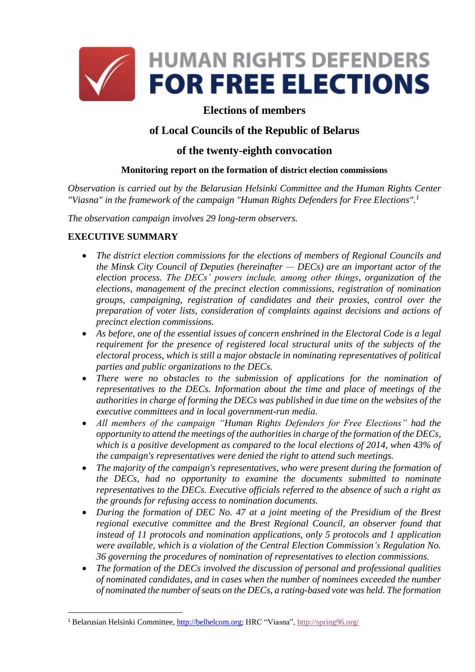

# **Elections of members**

## **of Local Councils of the Republic of Belarus**

## **of the twenty-eighth convocation**

#### **Monitoring report on the formation of district election commissions**

*Observation is carried out by the Belarusian Helsinki Committee and the Human Rights Center "Viasna" in the framework of the campaign "Human Rights Defenders for Free Elections".<sup>1</sup>*

*The observation campaign involves 29 long-term observers.*

#### **EXECUTIVE SUMMARY**

**.** 

- *The district election commissions for the elections of members of Regional Councils and the Minsk City Council of Deputies (hereinafter — DECs) are an important actor of the election process. The DECs' powers include, among other things, organization of the elections, management of the precinct election commissions, registration of nomination groups, campaigning, registration of candidates and their proxies, control over the preparation of voter lists, consideration of complaints against decisions and actions of precinct election commissions.*
- *As before, one of the essential issues of concern enshrined in the Electoral Code is a legal requirement for the presence of registered local structural units of the subjects of the electoral process, which is still a major obstacle in nominating representatives of political parties and public organizations to the DECs.*
- There were no obstacles to the submission of applications for the nomination of *representatives to the DECs. Information about the time and place of meetings of the authorities in charge of forming the DECs was published in due time on the websites of the executive committees and in local government-run media.*
- *All members of the campaign "Human Rights Defenders for Free Elections" had the opportunity to attend the meetings of the authorities in charge of the formation of the DECs. which is a positive development as compared to the local elections of 2014, when 43% of the campaign's representatives were denied the right to attend such meetings.*
- *The majority of the campaign's representatives, who were present during the formation of the DECs, had no opportunity to examine the documents submitted to nominate representatives to the DECs. Executive officials referred to the absence of such a right as the grounds for refusing access to nomination documents.*
- *During the formation of DEC No. 47 at a joint meeting of the Presidium of the Brest regional executive committee and the Brest Regional Council, an observer found that instead of 11 protocols and nomination applications, only 5 protocols and 1 application were available, which is a violation of the Central Election Commission's Regulation No. 36 governing the procedures of nomination of representatives to election commissions.*
- *The formation of the DECs involved the discussion of personal and professional qualities of nominated candidates, and in cases when the number of nominees exceeded the number of nominated the number of seats on the DECs, a rating-based vote was held. The formation*

<sup>&</sup>lt;sup>1</sup> Belarusian Helsinki Committee[, http://belhelcom.org](http://belhelcom.org/); HRC "Viasna"[, http://spring96.org/](http://elections2018.spring96.org/en)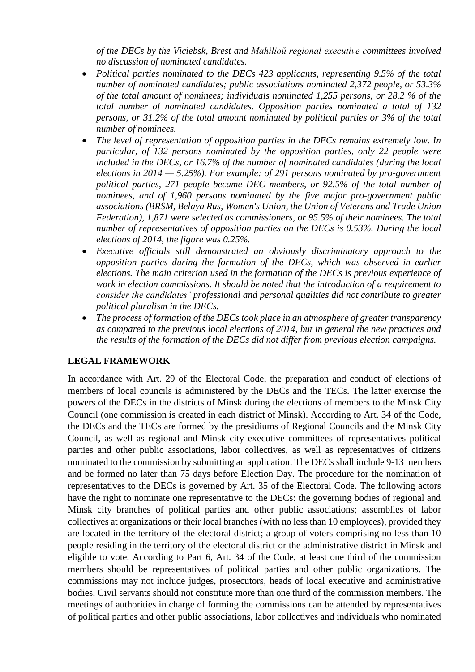*of the DECs by the Viciebsk, Brest and Mahilioŭ regional executive committees involved no discussion of nominated candidates.*

- *Political parties nominated to the DECs 423 applicants, representing 9.5% of the total number of nominated candidates; public associations nominated 2,372 people, or 53.3% of the total amount of nominees; individuals nominated 1,255 persons, or 28.2 % of the total number of nominated candidates. Opposition parties nominated a total of 132 persons, or 31.2% of the total amount nominated by political parties or 3% of the total number of nominees.*
- *The level of representation of opposition parties in the DECs remains extremely low. In particular, of 132 persons nominated by the opposition parties, only 22 people were included in the DECs, or 16.7% of the number of nominated candidates (during the local elections in 2014 — 5.25%). For example: of 291 persons nominated by pro-government political parties, 271 people became DEC members, or 92.5% of the total number of nominees, and of 1,960 persons nominated by the five major pro-government public associations (BRSM, Belaya Rus, Women's Union, the Union of Veterans and Trade Union Federation), 1,871 were selected as commissioners, or 95.5% of their nominees. The total number of representatives of opposition parties on the DECs is 0.53%. During the local elections of 2014, the figure was 0.25%.*
- *Executive officials still demonstrated an obviously discriminatory approach to the opposition parties during the formation of the DECs, which was observed in earlier elections. The main criterion used in the formation of the DECs is previous experience of work in election commissions. It should be noted that the introduction of a requirement to consider the candidates' professional and personal qualities did not contribute to greater political pluralism in the DECs.*
- *The process of formation of the DECs took place in an atmosphere of greater transparency as compared to the previous local elections of 2014, but in general the new practices and the results of the formation of the DECs did not differ from previous election campaigns.*

#### **LEGAL FRAMEWORK**

In accordance with Art. 29 of the Electoral Code, the preparation and conduct of elections of members of local councils is administered by the DECs and the TECs. The latter exercise the powers of the DECs in the districts of Minsk during the elections of members to the Minsk City Council (one commission is created in each district of Minsk). According to Art. 34 of the Code, the DECs and the TECs are formed by the presidiums of Regional Councils and the Minsk City Council, as well as regional and Minsk city executive committees of representatives political parties and other public associations, labor collectives, as well as representatives of citizens nominated to the commission by submitting an application. The DECs shall include 9-13 members and be formed no later than 75 days before Election Day. The procedure for the nomination of representatives to the DECs is governed by Art. 35 of the Electoral Code. The following actors have the right to nominate one representative to the DECs: the governing bodies of regional and Minsk city branches of political parties and other public associations; assemblies of labor collectives at organizations or their local branches (with no less than 10 employees), provided they are located in the territory of the electoral district; a group of voters comprising no less than 10 people residing in the territory of the electoral district or the administrative district in Minsk and eligible to vote. According to Part 6, Art. 34 of the Code, at least one third of the commission members should be representatives of political parties and other public organizations. The commissions may not include judges, prosecutors, heads of local executive and administrative bodies. Civil servants should not constitute more than one third of the commission members. The meetings of authorities in charge of forming the commissions can be attended by representatives of political parties and other public associations, labor collectives and individuals who nominated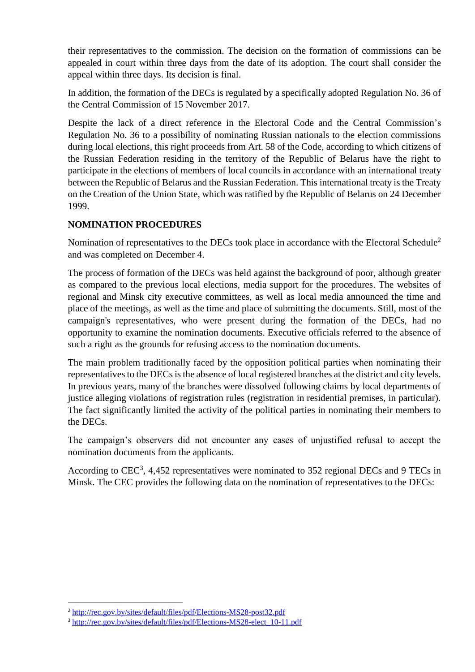their representatives to the commission. The decision on the formation of commissions can be appealed in court within three days from the date of its adoption. The court shall consider the appeal within three days. Its decision is final.

In addition, the formation of the DECs is regulated by a specifically adopted Regulation No. 36 of the Central Commission of 15 November 2017.

Despite the lack of a direct reference in the Electoral Code and the Central Commission's Regulation No. 36 to a possibility of nominating Russian nationals to the election commissions during local elections, this right proceeds from Art. 58 of the Code, according to which citizens of the Russian Federation residing in the territory of the Republic of Belarus have the right to participate in the elections of members of local councils in accordance with an international treaty between the Republic of Belarus and the Russian Federation. This international treaty is the Treaty on the Creation of the Union State, which was ratified by the Republic of Belarus on 24 December 1999.

## **NOMINATION PROCEDURES**

Nomination of representatives to the DECs took place in accordance with the Electoral Schedule<sup>2</sup> and was completed on December 4.

The process of formation of the DECs was held against the background of poor, although greater as compared to the previous local elections, media support for the procedures. The websites of regional and Minsk city executive committees, as well as local media announced the time and place of the meetings, as well as the time and place of submitting the documents. Still, most of the campaign's representatives, who were present during the formation of the DECs, had no opportunity to examine the nomination documents. Executive officials referred to the absence of such a right as the grounds for refusing access to the nomination documents.

The main problem traditionally faced by the opposition political parties when nominating their representatives to the DECs is the absence of local registered branches at the district and city levels. In previous years, many of the branches were dissolved following claims by local departments of justice alleging violations of registration rules (registration in residential premises, in particular). The fact significantly limited the activity of the political parties in nominating their members to the DECs.

The campaign's observers did not encounter any cases of unjustified refusal to accept the nomination documents from the applicants.

According to CEC<sup>3</sup>, 4,452 representatives were nominated to 352 regional DECs and 9 TECs in Minsk. The CEC provides the following data on the nomination of representatives to the DECs:

**.** 

<sup>2</sup> <http://rec.gov.by/sites/default/files/pdf/Elections-MS28-post32.pdf>

<sup>&</sup>lt;sup>3</sup> [http://rec.gov.by/sites/default/files/pdf/Elections-MS28-elect\\_10-11.pdf](http://rec.gov.by/sites/default/files/pdf/Elections-MS28-elect_10-11.pdf)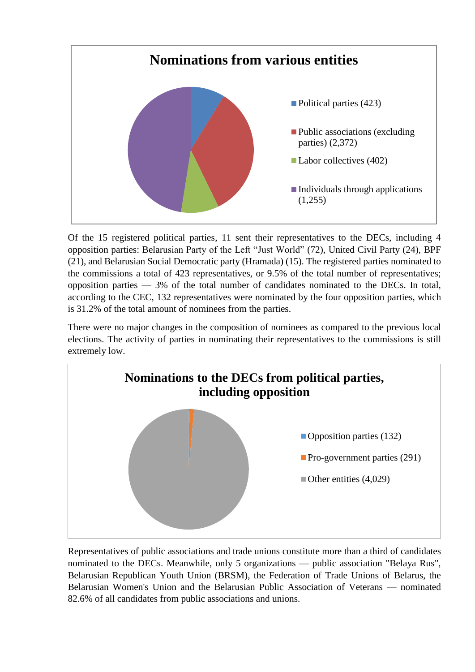

Of the 15 registered political parties, 11 sent their representatives to the DECs, including 4 opposition parties: Belarusian Party of the Left "Just World" (72), United Civil Party (24), BPF (21), and Belarusian Social Democratic party (Hramada) (15). The registered parties nominated to the commissions a total of 423 representatives, or 9.5% of the total number of representatives; opposition parties — 3% of the total number of candidates nominated to the DECs. In total, according to the CEC, 132 representatives were nominated by the four opposition parties, which is 31.2% of the total amount of nominees from the parties.

There were no major changes in the composition of nominees as compared to the previous local elections. The activity of parties in nominating their representatives to the commissions is still extremely low.



Representatives of public associations and trade unions constitute more than a third of candidates nominated to the DECs. Meanwhile, only 5 organizations — public association "Belaya Rus", Belarusian Republican Youth Union (BRSM), the Federation of Trade Unions of Belarus, the Belarusian Women's Union and the Belarusian Public Association of Veterans — nominated 82.6% of all candidates from public associations and unions.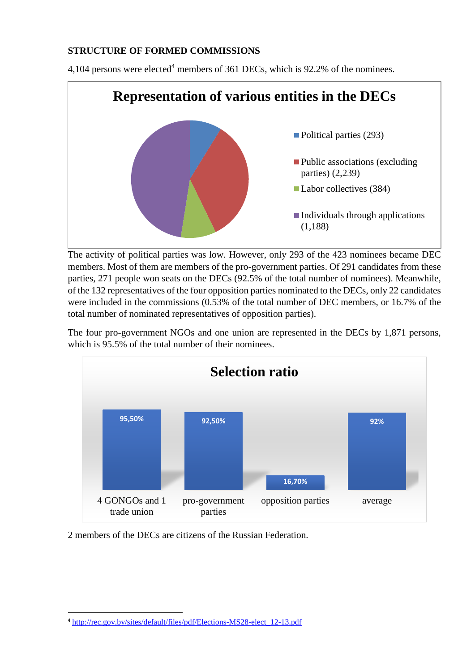## **STRUCTURE OF FORMED COMMISSIONS**

4,104 persons were elected<sup>4</sup> members of 361 DECs, which is  $92.2\%$  of the nominees.



The activity of political parties was low. However, only 293 of the 423 nominees became DEC members. Most of them are members of the pro-government parties. Of 291 candidates from these parties, 271 people won seats on the DECs (92.5% of the total number of nominees). Meanwhile, of the 132 representatives of the four opposition parties nominated to the DECs, only 22 candidates were included in the commissions (0.53% of the total number of DEC members, or 16.7% of the total number of nominated representatives of opposition parties).

The four pro-government NGOs and one union are represented in the DECs by 1,871 persons, which is 95.5% of the total number of their nominees.



2 members of the DECs are citizens of the Russian Federation.

**.** 

<sup>4</sup> [http://rec.gov.by/sites/default/files/pdf/Elections-MS28-elect\\_12-13.pdf](http://rec.gov.by/sites/default/files/pdf/Elections-MS28-elect_12-13.pdf)